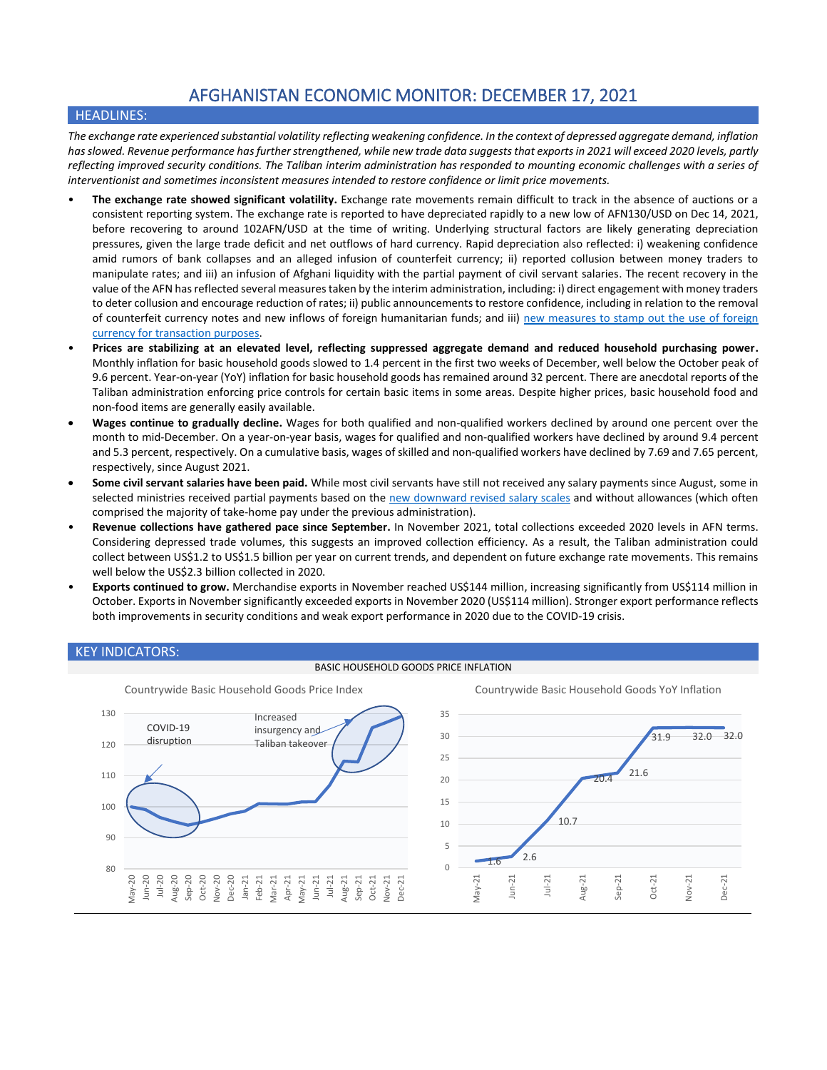# AFGHANISTAN ECONOMIC MONITOR: DECEMBER 17, 2021

# HEADLINES:

*The exchange rate experienced substantial volatility reflecting weakening confidence. In the context of depressed aggregate demand, inflation has slowed. Revenue performance has further strengthened, while new trade data suggests that exports in 2021 will exceed 2020 levels, partly reflecting improved security conditions. The Taliban interim administration has responded to mounting economic challenges with a series of interventionist and sometimes inconsistent measures intended to restore confidence or limit price movements.*

- **The exchange rate showed significant volatility.** Exchange rate movements remain difficult to track in the absence of auctions or a consistent reporting system. The exchange rate is reported to have depreciated rapidly to a new low of AFN130/USD on Dec 14, 2021, before recovering to around 102AFN/USD at the time of writing. Underlying structural factors are likely generating depreciation pressures, given the large trade deficit and net outflows of hard currency. Rapid depreciation also reflected: i) weakening confidence amid rumors of bank collapses and an alleged infusion of counterfeit currency; ii) reported collusion between money traders to manipulate rates; and iii) an infusion of Afghani liquidity with the partial payment of civil servant salaries. The recent recovery in the value of the AFN has reflected several measures taken by the interim administration, including: i) direct engagement with money traders to deter collusion and encourage reduction of rates; ii) public announcements to restore confidence, including in relation to the removal of counterfeit currency notes and new inflows of foreign humanitarian funds; and iii) new measures to stamp out the use of foreign [currency for transaction](https://ariananews.af/iea-bans-use-of-foreign-currencies-in-bid-to-stabilize-afghan-currency/) purposes.
- **Prices are stabilizing at an elevated level, reflecting suppressed aggregate demand and reduced household purchasing power.** Monthly inflation for basic household goods slowed to 1.4 percent in the first two weeks of December, well below the October peak of 9.6 percent. Year-on-year (YoY) inflation for basic household goods has remained around 32 percent. There are anecdotal reports of the Taliban administration enforcing price controls for certain basic items in some areas. Despite higher prices, basic household food and non-food items are generally easily available.
- **Wages continue to gradually decline.** Wages for both qualified and non-qualified workers declined by around one percent over the month to mid-December. On a year-on-year basis, wages for qualified and non-qualified workers have declined by around 9.4 percent and 5.3 percent, respectively. On a cumulative basis, wages of skilled and non-qualified workers have declined by 7.69 and 7.65 percent, respectively, since August 2021.
- **Some civil servant salaries have been paid.** While most civil servants have still not received any salary payments since August, some in selected ministries received partial payments based on the [new downward revised salary scales](https://www.jurist.org/news/2021/12/afghanistan-dispatches-taliban-government-reduces-civil-servant-salaries/) and without allowances (which often comprised the majority of take-home pay under the previous administration).
- **Revenue collections have gathered pace since September.** In November 2021, total collections exceeded 2020 levels in AFN terms. Considering depressed trade volumes, this suggests an improved collection efficiency. As a result, the Taliban administration could collect between US\$1.2 to US\$1.5 billion per year on current trends, and dependent on future exchange rate movements. This remains well below the US\$2.3 billion collected in 2020.
- **Exports continued to grow.** Merchandise exports in November reached US\$144 million, increasing significantly from US\$114 million in October. Exports in November significantly exceeded exports in November 2020 (US\$114 million). Stronger export performance reflects both improvements in security conditions and weak export performance in 2020 due to the COVID-19 crisis.

## KEY INDICATORS:

#### BASIC HOUSEHOLD GOODS PRICE INFLATION

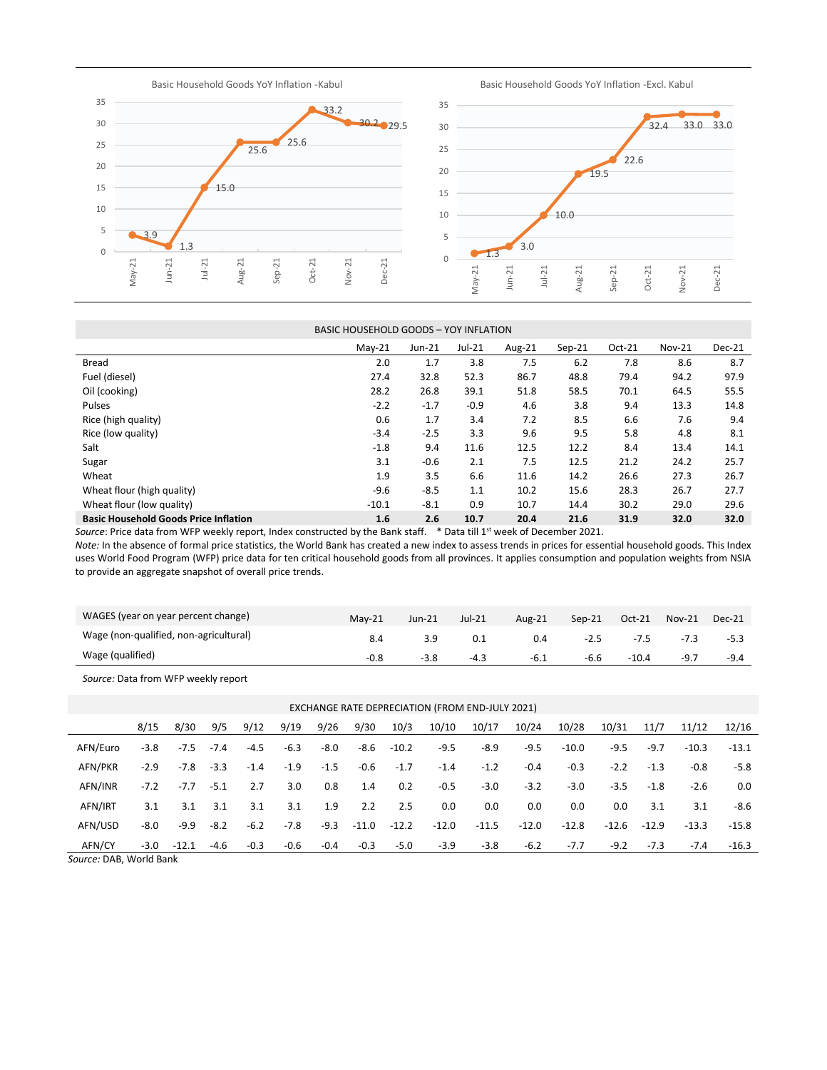Basic Household Goods YoY Inflation -Kabul

Basic Household Goods YoY Inflation -Excl. Kabul



|                                              | BASIC HOUSEHOLD GOODS - YOY INFLATION |          |                           |        |                      |          |          |        |
|----------------------------------------------|---------------------------------------|----------|---------------------------|--------|----------------------|----------|----------|--------|
|                                              | $May-21$                              | $Jun-21$ | $Jul-21$                  | Aug-21 | $Sep-21$             | $Oct-21$ | $Nov-21$ | Dec-21 |
| Bread                                        | 2.0                                   | 1.7      | 3.8                       | 7.5    | 6.2                  | 7.8      | 8.6      | 8.7    |
| Fuel (diesel)                                | 27.4                                  | 32.8     | 52.3                      | 86.7   | 48.8                 | 79.4     | 94.2     | 97.9   |
| Oil (cooking)                                | 28.2                                  | 26.8     | 39.1                      | 51.8   | 58.5                 | 70.1     | 64.5     | 55.5   |
| Pulses                                       | $-2.2$                                | $-1.7$   | $-0.9$                    | 4.6    | 3.8                  | 9.4      | 13.3     | 14.8   |
| Rice (high quality)                          | 0.6                                   | 1.7      | 3.4                       | 7.2    | 8.5                  | 6.6      | 7.6      | 9.4    |
| Rice (low quality)                           | $-3.4$                                | $-2.5$   | 3.3                       | 9.6    | 9.5                  | 5.8      | 4.8      | 8.1    |
| Salt                                         | $-1.8$                                | 9.4      | 11.6                      | 12.5   | 12.2                 | 8.4      | 13.4     | 14.1   |
| Sugar                                        | 3.1                                   | $-0.6$   | 2.1                       | 7.5    | 12.5                 | 21.2     | 24.2     | 25.7   |
| Wheat                                        | 1.9                                   | 3.5      | 6.6                       | 11.6   | 14.2                 | 26.6     | 27.3     | 26.7   |
| Wheat flour (high quality)                   | $-9.6$                                | $-8.5$   | 1.1                       | 10.2   | 15.6                 | 28.3     | 26.7     | 27.7   |
| Wheat flour (low quality)                    | $-10.1$                               | $-8.1$   | 0.9                       | 10.7   | 14.4                 | 30.2     | 29.0     | 29.6   |
| <b>Basic Household Goods Price Inflation</b> | 1.6                                   | 2.6      | 10.7                      | 20.4   | 21.6                 | 31.9     | 32.0     | 32.0   |
|                                              |                                       |          | $\sim$ $\sim$ $\sim$<br>. | $\sim$ | $\sim$ $\sim$ $\sim$ |          |          |        |

Source: Price data from WFP weekly report, Index constructed by the Bank staff. \* Data till 1<sup>st</sup> week of December 2021.

*Note:* In the absence of formal price statistics, the World Bank has created a new index to assess trends in prices for essential household goods. This Index uses World Food Program (WFP) price data for ten critical household goods from all provinces. It applies consumption and population weights from NSIA to provide an aggregate snapshot of overall price trends.

| WAGES (year on year percent change)    | $Mav-21$ | $Jun-21$ | Jul-21 | Aug-21 | $Sen-21$ | $Oct-21$ | <b>Nov-21</b> | Dec-21 |
|----------------------------------------|----------|----------|--------|--------|----------|----------|---------------|--------|
| Wage (non-qualified, non-agricultural) |          |          |        | 0.4    | $-2.5$   | -7.5     |               | $-5.3$ |
| Wage (qualified)                       | $-0.8$   | -3.8     | $-4.3$ | $-6.1$ | -6.6     | $-10.4$  | $-9.7$        | $-9.4$ |

*Source:* Data from WFP weekly report

| EXCHANGE RATE DEPRECIATION (FROM END-JULY 2021) |        |         |        |        |        |        |         |         |         |         |         |         |         |         |         |         |
|-------------------------------------------------|--------|---------|--------|--------|--------|--------|---------|---------|---------|---------|---------|---------|---------|---------|---------|---------|
|                                                 | 8/15   | 8/30    | 9/5    | 9/12   | 9/19   | 9/26   | 9/30    | 10/3    | 10/10   | 10/17   | 10/24   | 10/28   | 10/31   | 11/7    | 11/12   | 12/16   |
| AFN/Euro                                        | $-3.8$ | $-7.5$  | $-7.4$ | $-4.5$ | $-6.3$ | $-8.0$ | $-8.6$  | $-10.2$ | $-9.5$  | $-8.9$  | $-9.5$  | $-10.0$ | $-9.5$  | $-9.7$  | $-10.3$ | $-13.1$ |
| AFN/PKR                                         | $-2.9$ | -7.8    | $-3.3$ | $-1.4$ | $-1.9$ | $-1.5$ | $-0.6$  | $-1.7$  | $-1.4$  | $-1.2$  | $-0.4$  | $-0.3$  | $-2.2$  | $-1.3$  | $-0.8$  | -5.8    |
| AFN/INR                                         | $-7.2$ | $-7.7$  | $-5.1$ | 2.7    | 3.0    | 0.8    | 1.4     | 0.2     | $-0.5$  | $-3.0$  | $-3.2$  | $-3.0$  | $-3.5$  | $-1.8$  | $-2.6$  | 0.0     |
| AFN/IRT                                         | 3.1    | 3.1     | 3.1    | 3.1    | 3.1    | 1.9    | 2.2     | 2.5     | 0.0     | 0.0     | 0.0     | 0.0     | 0.0     | 3.1     | 3.1     | -8.6    |
| AFN/USD                                         | $-8.0$ | $-9.9$  | $-8.2$ | $-6.2$ | $-7.8$ | $-9.3$ | $-11.0$ | $-12.2$ | $-12.0$ | $-11.5$ | $-12.0$ | $-12.8$ | $-12.6$ | $-12.9$ | $-13.3$ | -15.8   |
| AFN/CY                                          | -3.0   | $-12.1$ | $-4.6$ | $-0.3$ | -0.6   | $-0.4$ | $-0.3$  | $-5.0$  | $-3.9$  | $-3.8$  | $-6.2$  | $-7.7$  | $-9.2$  | $-7.3$  | $-7.4$  | $-16.3$ |

*Source:* DAB, World Bank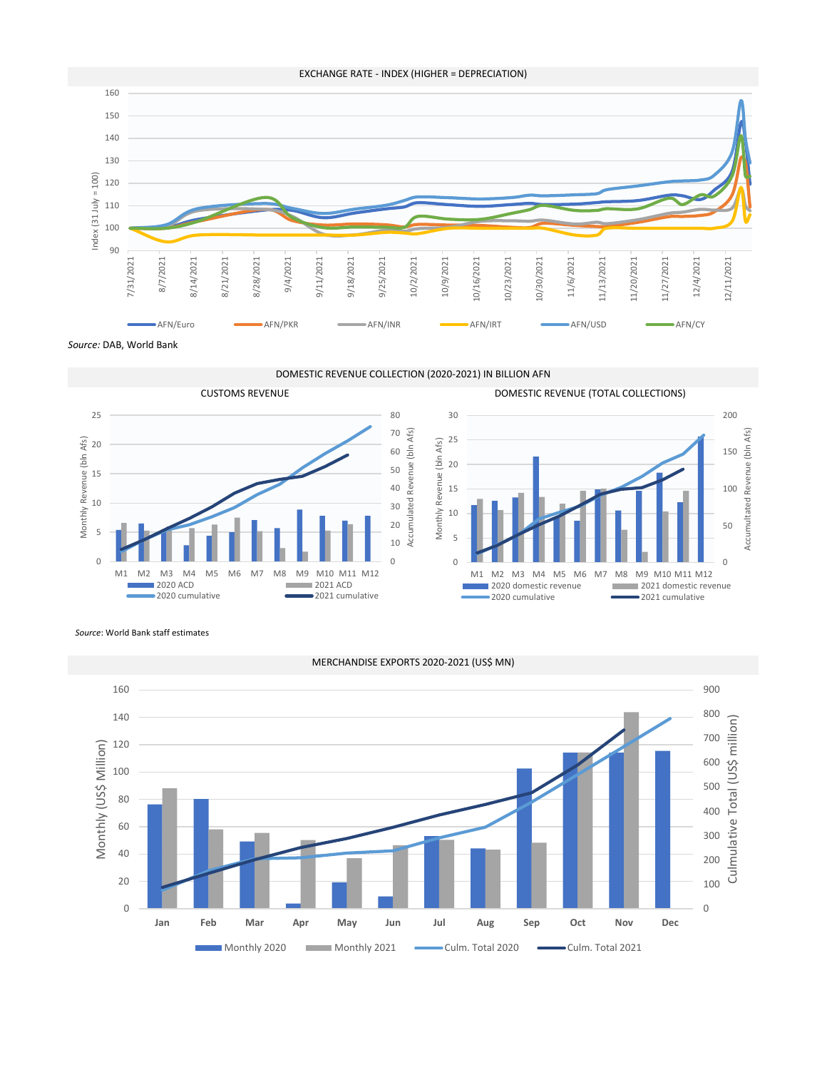

*Source:* DAB, World Bank

DOMESTIC REVENUE COLLECTION (2020-2021) IN BILLION AFN





*Source*: World Bank staff estimates



## EXCHANGE RATE - INDEX (HIGHER = DEPRECIATION)